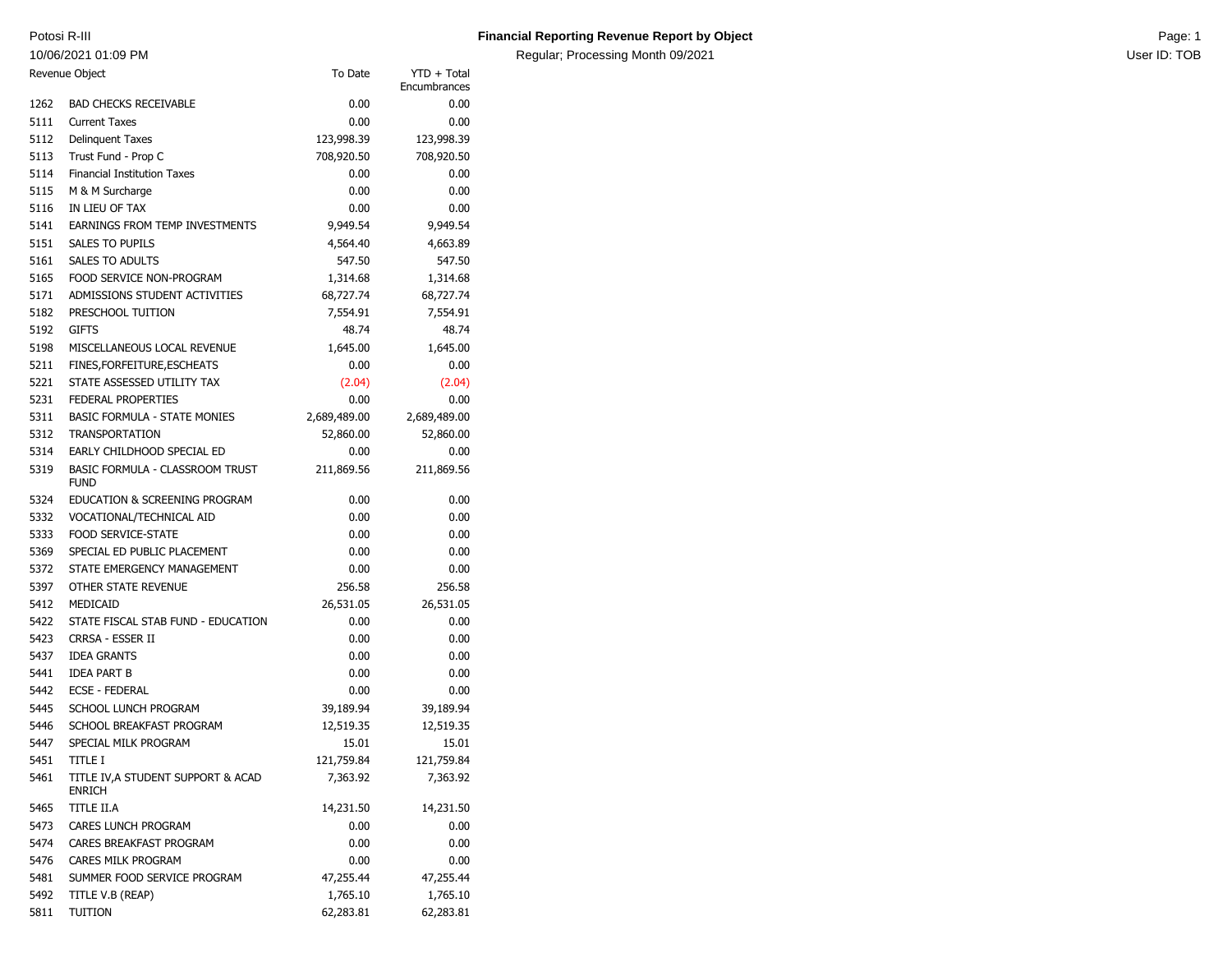10/06/2021 01:09 PM

## Potosi R-III **Page: 1 Contains a Constanting Revenue Report by Object** Page: 1 **Page: 1** Page: 1

Regular; Processing Month 09/2021 **Now the State of the Control of Control** User ID: TOB

| Revenue Object |                                                     | To Date      | YTD + Total<br>Encumbrances |
|----------------|-----------------------------------------------------|--------------|-----------------------------|
| 1262           | <b>BAD CHECKS RECEIVABLE</b>                        | 0.00         | 0.00                        |
| 5111           | <b>Current Taxes</b>                                | 0.00         | 0.00                        |
| 5112           | <b>Delinquent Taxes</b>                             | 123,998.39   | 123,998.39                  |
| 5113           | Trust Fund - Prop C                                 | 708,920.50   | 708,920.50                  |
| 5114           | <b>Financial Institution Taxes</b>                  | 0.00         | 0.00                        |
| 5115           | M & M Surcharge                                     | 0.00         | 0.00                        |
| 5116           | IN LIEU OF TAX                                      | 0.00         | 0.00                        |
| 5141           | EARNINGS FROM TEMP INVESTMENTS                      | 9,949.54     | 9,949.54                    |
| 5151           | <b>SALES TO PUPILS</b>                              | 4,564.40     | 4,663.89                    |
| 5161           | <b>SALES TO ADULTS</b>                              | 547.50       | 547.50                      |
| 5165           | FOOD SERVICE NON-PROGRAM                            | 1,314.68     | 1,314.68                    |
| 5171           | ADMISSIONS STUDENT ACTIVITIES                       | 68,727.74    | 68,727.74                   |
| 5182           | PRESCHOOL TUITION                                   | 7,554.91     | 7,554.91                    |
| 5192           | <b>GIFTS</b>                                        | 48.74        | 48.74                       |
| 5198           | MISCELLANEOUS LOCAL REVENUE                         | 1,645.00     | 1,645.00                    |
| 5211           | FINES, FOR FEITURE, ESCHEATS                        | 0.00         | 0.00                        |
| 5221           | STATE ASSESSED UTILITY TAX                          | (2.04)       | (2.04)                      |
| 5231           | <b>FEDERAL PROPERTIES</b>                           | 0.00         | 0.00                        |
| 5311           | <b>BASIC FORMULA - STATE MONIES</b>                 | 2,689,489.00 | 2,689,489.00                |
| 5312           | <b>TRANSPORTATION</b>                               | 52,860.00    | 52,860.00                   |
| 5314           | EARLY CHILDHOOD SPECIAL ED                          | 0.00         | 0.00                        |
| 5319           | BASIC FORMULA - CLASSROOM TRUST<br><b>FUND</b>      | 211,869.56   | 211,869.56                  |
| 5324           | EDUCATION & SCREENING PROGRAM                       | 0.00         | 0.00                        |
| 5332           | VOCATIONAL/TECHNICAL AID                            | 0.00         | 0.00                        |
| 5333           | <b>FOOD SERVICE-STATE</b>                           | 0.00         | 0.00                        |
| 5369           | SPECIAL ED PUBLIC PLACEMENT                         | 0.00         | 0.00                        |
| 5372           | STATE EMERGENCY MANAGEMENT                          | 0.00         | 0.00                        |
| 5397           | OTHER STATE REVENUE                                 | 256.58       | 256.58                      |
| 5412           | MEDICAID                                            | 26,531.05    | 26,531.05                   |
| 5422           | STATE FISCAL STAB FUND - EDUCATION                  | 0.00         | 0.00                        |
| 5423           | CRRSA - ESSER II                                    | 0.00         | 0.00                        |
| 5437           | <b>IDEA GRANTS</b>                                  | 0.00         | 0.00                        |
| 5441           | <b>IDEA PART B</b>                                  | 0.00         | 0.00                        |
| 5442           | <b>ECSE - FEDERAL</b>                               | 0.00         | 0.00                        |
| 5445           | SCHOOL LUNCH PROGRAM                                | 39,189.94    | 39,189.94                   |
| 5446           | SCHOOL BREAKFAST PROGRAM                            | 12,519.35    | 12,519.35                   |
| 5447           | SPECIAL MILK PROGRAM                                | 15.01        | 15.01                       |
| 5451           | <b>TITLE I</b>                                      | 121,759.84   | 121,759.84                  |
| 5461           | TITLE IV, A STUDENT SUPPORT & ACAD<br><b>ENRICH</b> | 7,363.92     | 7,363.92                    |
| 5465           | TITLE II.A                                          | 14,231.50    | 14,231.50                   |
| 5473           | CARES LUNCH PROGRAM                                 | 0.00         | 0.00                        |
| 5474           | CARES BREAKFAST PROGRAM                             | 0.00         | 0.00                        |
| 5476           | CARES MILK PROGRAM                                  | 0.00         | 0.00                        |
| 5481           | SUMMER FOOD SERVICE PROGRAM                         | 47,255.44    | 47,255.44                   |
| 5492           | TITLE V.B (REAP)                                    | 1,765.10     | 1,765.10                    |
| 5811           | TUITION                                             | 62,283.81    | 62,283.81                   |